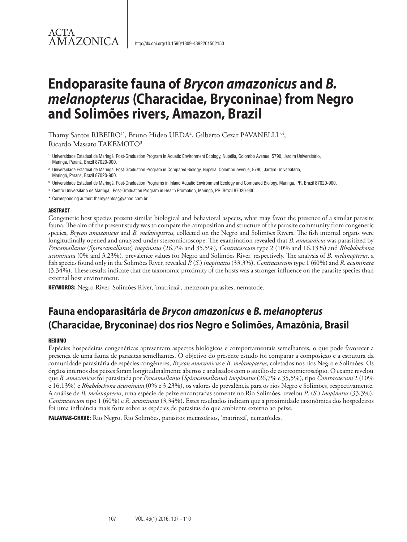### ACTA **AMAZONICA**

## **Endoparasite fauna of** *Brycon amazonicus* **and** *B. melanopterus* **(Characidae, Bryconinae) from Negro and Solimões rivers, Amazon, Brazil**

Thamy Santos RIBEIRO<sup>1\*</sup>, Bruno Hideo UEDA<sup>2</sup>, Gilberto Cezar PAVANELLI<sup>3,4</sup>, Ricardo Massato TAKEMOTO3

<sup>1</sup> Universidade Estadual de Maringá, Post-Graduation Program in Aquatic Environment Ecology, Nupélia, Colombo Avenue, 5790, Jardim Universitário, Maringá, Paraná, Brazil 87020-900.

<sup>2</sup> Universidade Estadual de Maringá, Post-Graduation Program in Compared Biology, Nupélia, Colombo Avenue, 5790, Jardim Universitário, Maringá, Paraná, Brazil 87020-900.

- <sup>3</sup> Universidade Estadual de Maringá, Post-Graduation Programs in Inland Aquatic Environment Ecology and Compared Biology. Maringá, PR, Brazil 87020-900.
- <sup>4</sup> Centro Universitário de Maringá, Post-Graduation Program in Health Promotion, Maringá, PR, Brazil 87020-900.
- \* Corresponding author: thamysantos@yahoo.com.br

#### ABSTRACT

Congeneric host species present similar biological and behavioral aspects, what may favor the presence of a similar parasite fauna. The aim of the present study was to compare the composition and structure of the parasite community from congeneric species, *Brycon amazonicus* and *B. melanopterus*, collected on the Negro and Solimões Rivers. The fish internal organs were longitudinally opened and analyzed under stereomicroscope. The examination revealed that *B. amazonicus* was parasitized by *Procamallanus* (*Spirocamallanus*) *inopinatus* (26.7% and 35.5%), *Contracaecum* type 2 (10% and 16.13%) and *Rhabdochona acuminata* (0% and 3.23%), prevalence values for Negro and Solimões River, respectively. The analysis of *B. melanopterus*, a fish species found only in the Solimões River, revealed *P.* (*S.*) *inopinatus* (33.3%), *Contracaecum* type 1 (60%) and *R. acuminata*  (3.34%). These results indicate that the taxonomic proximity of the hosts was a stronger influence on the parasite species than external host environment.

KEYWORDS: Negro River, Solimões River, 'matrinxã', metazoan parasites, nematode.

## **Fauna endoparasitária de** *Brycon amazonicus* **e** *B. melanopterus* **(Characidae, Bryconinae) dos rios Negro e Solimões, Amazônia, Brasil**

#### **RESUMO**

Espécies hospedeiras congenéricas apresentam aspectos biológicos e comportamentais semelhantes, o que pode favorecer a presença de uma fauna de parasitas semelhantes. O objetivo do presente estudo foi comparar a composição e a estrutura da comunidade parasitária de espécies congêneres, *Brycon amazonicus* e *B*. *melanopterus*, coletados nos rios Negro e Solimões. Os órgãos internos dos peixes foram longitudinalmente abertos e analisados com o auxílio de estereomicroscópio. O exame revelou que *B. amazonicus* foi parasitada por *Procamallanus* (*Spirocamallanus*) *inopinatus* (26,7% e 35,5%), tipo *Contracaecum* 2 (10% e 16,13%) e *Rhabdochona acuminata* (0% e 3,23%), os valores de prevalência para os rios Negro e Solimões, respectivamente. A análise de *B. melanopterus*, uma espécie de peixe encontradas somente no Rio Solimões, revelou *P*. (*S*.) *inopinatus* (33,3%), *Contracaecum* tipo 1 (60%) e *R*. *acuminata* (3,34%). Estes resultados indicam que a proximidade taxonômica dos hospedeiros foi uma influência mais forte sobre as espécies de parasitas do que ambiente externo ao peixe.

PALAVRAS-CHAVE: Rio Negro, Rio Solimões, parasitos metazoários, 'matrinxã', nematóides.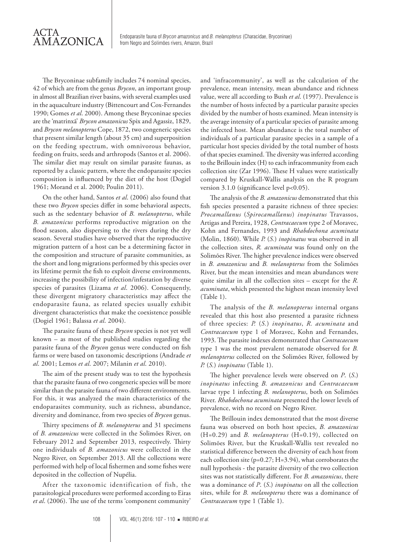The Bryconinae subfamily includes 74 nominal species, 42 of which are from the genus *Brycon*, an important group in almost all Brazilian river basins, with several examples used in the aquaculture industry (Bittencourt and Cox-Fernandes 1990; Gomes *et al*. 2000). Among these Bryconinae species are the 'matrinxã' *Brycon amazonicus* Spix and Agassiz, 1829, and *Brycon melanopterus* Cope, 1872, two congeneric species that present similar length (about 35 cm) and superposition on the feeding spectrum, with omnivorous behavior, feeding on fruits, seeds and arthropods (Santos et al. 2006). The similar diet may result on similar parasite faunas, as reported by a classic pattern, where the endoparasite species composition is influenced by the diet of the host (Dogiel 1961; Morand et al. 2000; Poulin 2011).

On the other hand, Santos *et al*. (2006) also found that these two *Brycon* species differ in some behavioral aspects, such as the sedentary behavior of *B. melanopterus*, while *B. amazonicus* performs reproductive migration on the flood season, also dispersing to the rivers during the dry season. Several studies have observed that the reproductive migration pattern of a host can be a determining factor in the composition and structure of parasite communities, as the short and long migrations performed by this species over its lifetime permit the fish to exploit diverse environments, increasing the possibility of infection/infestation by diverse species of parasites (Lizama *et al*. 2006). Consequently, these divergent migratory characteristics may affect the endoparasite fauna, as related species usually exhibit divergent characteristics that make the coexistence possible (Dogiel 1961; Balassa *et al*. 2004).

The parasite fauna of these *Brycon* species is not yet well known – as most of the published studies regarding the parasite fauna of the *Brycon* genus were conducted on fish farms or were based on taxonomic descriptions (Andrade *et al*. 2001; Lemos *et al*. 2007; Milanin *et al*. 2010).

The aim of the present study was to test the hypothesis that the parasite fauna of two congeneric species will be more similar than the parasite fauna of two different environments. For this, it was analyzed the main characteristics of the endoparasites community, such as richness, abundance, diversity and dominance, from two species of *Brycon* genus.

Thirty specimens of *B. melanopterus* and 31 specimens of *B. amazonicus* were collected in the Solimões River, on February 2012 and September 2013, respectively. Thirty one individuals of *B. amazonicus* were collected in the Negro River, on September 2013. All the collections were performed with help of local fishermen and some fishes were deposited in the collection of Nupélia.

After the taxonomic identification of fish, the parasitological procedures were performed according to Eiras *et al*. (2006). The use of the terms 'component community' and 'infracommunity', as well as the calculation of the prevalence, mean intensity, mean abundance and richness value, were all according to Bush *et al*. (1997). Prevalence is the number of hosts infected by a particular parasite species divided by the number of hosts examined. Mean intensity is the average intensity of a particular species of parasite among the infected host. Mean abundance is the total number of individuals of a particular parasite species in a sample of a particular host species divided by the total number of hosts of that species examined. The diversity was inferred according to the Brillouin index (H) to each infracommunity from each collection site (Zar 1996). These H values were statistically compared by Kruskall-Wallis analysis on the R program version 3.1.0 (significance level p<0.05).

The analysis of the *B. amazonicus* demonstrated that this fish species presented a parasite richness of three species: *Procamallanus* (*Spirocamallanus*) *inopinatus* Travassos, Artigas and Pereira, 1928, *Contracaecum* type 2 of Moravec, Kohn and Fernandes, 1993 and *Rhabdochona acuminata* (Molin, 1860). While *P.* (*S.*) *inopinatus* was observed in all the collection sites, *R. acuminata* was found only on the Solimões River. The higher prevalence indices were observed in *B. amazonicus* and *B. melanopterus* from the Solimões River, but the mean intensities and mean abundances were quite similar in all the collection sites – except for the *R. acuminata*, which presented the highest mean intensity level (Table 1).

The analysis of the *B. melanopterus* internal organs revealed that this host also presented a parasite richness of three species: *P.* (*S.*) *inopinatus*, *R. acuminata* and *Contracaecum* type 1 of Moravec, Kohn and Fernandes, 1993. The parasite indexes demonstrated that *Contracaecum* type 1 was the most prevalent nematode observed for *B. melanopterus* collected on the Solimões River, followed by *P.* (*S.*) *inopinatus* (Table 1).

The higher prevalence levels were observed on *P*. (*S*.) *inopinatus* infecting *B. amazonicus* and *Contracaecum* larvae type 1 infecting *B. melanopterus*, both on Solimões River. *Rhabdochona acuminata* presented the lower levels of prevalence, with no record on Negro River.

The Brillouin index demonstrated that the most diverse fauna was observed on both host species, *B. amazonicus*  (H=0.29) and *B. melanopterus* (H=0.19), collected on Solimões River, but the Kruskall-Wallis test revealed no statistical difference between the diversity of each host from each collection site (p=0.27; H=3.94), what corroborates the null hypothesis - the parasite diversity of the two collection sites was not statistically different. For *B. amazonicus*, there was a dominance of *P*. (*S*.) *inopinatus* on all the collection sites, while for *B. melanopterus* there was a dominance of *Contracaecum* type 1 (Table 1).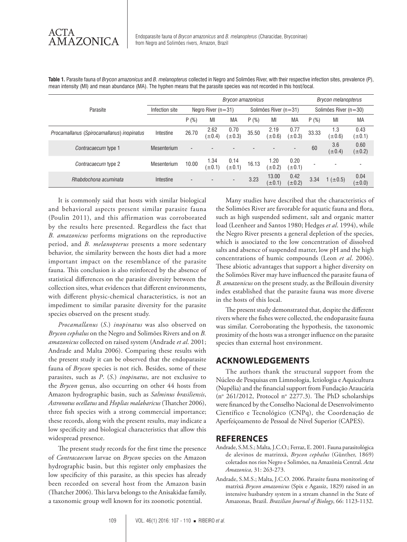|                                            | <b>Brycon amazonicus</b> |                          |                     |                          |                           |                      |                          | <b>Brycon melanopterus</b> |                    |                     |
|--------------------------------------------|--------------------------|--------------------------|---------------------|--------------------------|---------------------------|----------------------|--------------------------|----------------------------|--------------------|---------------------|
| Parasite                                   | Infection site           | Negro River $(n=31)$     |                     |                          | Solimões River ( $n=31$ ) |                      |                          | Solimões River (n=30)      |                    |                     |
|                                            |                          | P(%)                     | MI                  | <b>MA</b>                | P(%)                      | MI                   | MA                       | P(%)                       | MI                 | МA                  |
| Procamallanus (Spirocamallanus) inopinatus | Intestine                | 26.70                    | 2.62<br>$(\pm 0.4)$ | 0.70<br>$(\pm 0.3)$      | 35.50                     | 2.19<br>$(\pm 0.6)$  | 0.77<br>$(\pm 0.3)$      | 33.33                      | 1.3<br>$(\pm 0.6)$ | 0.43<br>$(\pm 0.1)$ |
| Contracaecum type 1                        | Mesenterium              | $\overline{\phantom{a}}$ |                     |                          |                           |                      | $\overline{\phantom{0}}$ | 60                         | 3.6<br>$(\pm 0.4)$ | 0.60<br>$(\pm 0.2)$ |
| Contracaecum type 2                        | Mesenterium              | 10.00                    | 1.34<br>$(\pm 0.1)$ | 0.14<br>$(\pm 0.1)$      | 16.13                     | 1.20<br>$(\pm 0.2)$  | 0.20<br>$(\pm 0.1)$      |                            |                    |                     |
| Rhabdochona acuminata                      | Intestine                | $\overline{\phantom{0}}$ |                     | $\overline{\phantom{a}}$ | 3.23                      | 13.00<br>$(\pm 0.1)$ | 0.42<br>$(\pm 0.2)$      | 3.34                       | 1 ( $\pm$ 0.5)     | 0.04<br>$(\pm 0.0)$ |

**Table 1.** Parasite fauna of *Brycon amazonicus* and *B. melanopterus* collected in Negro and Solimões River, with their respective infection sites, prevalence (P), mean intensity (MI) and mean abundance (MA). The hyphen means that the parasite species was not recorded in this host/local.

It is commonly said that hosts with similar biological and behavioral aspects present similar parasite fauna (Poulin 2011), and this affirmation was corroborated by the results here presented. Regardless the fact that *B. amazonicus* performs migrations on the reproductive period, and *B. melanopterus* presents a more sedentary behavior, the similarity between the hosts diet had a more important impact on the resemblance of the parasite fauna. This conclusion is also reinforced by the absence of statistical differences on the parasite diversity between the collection sites, what evidences that different environments, with different physic-chemical characteristics, is not an impediment to similar parasite diversity for the parasite species observed on the present study.

*Procamallanus* (*S*.) *inopinatus* was also observed on *Brycon cephalus* on the Negro and Solimões Rivers and on *B. amazonicus* collected on raised system (Andrade *et al*. 2001; Andrade and Malta 2006). Comparing these results with the present study it can be observed that the endoparasite fauna of *Brycon* species is not rich. Besides, some of these parasites, such as *P*. (*S*.) *inopinatus*, are not exclusive to the *Brycon* genus, also occurring on other 44 hosts from Amazon hydrographic basin, such as *Salminus brasiliensis*, *Astronotus ocellatus* and *Hoplias malabaricus* (Thatcher 2006), three fish species with a strong commercial importance; these records, along with the present results, may indicate a low specificity and biological characteristics that allow this widespread presence.

The present study records for the first time the presence of *Contracaecum* larvae on *Brycon* species on the Amazon hydrographic basin, but this register only emphasizes the low specificity of this parasite, as this species has already been recorded on several host from the Amazon basin (Thatcher 2006). This larva belongs to the Anisakidae family, a taxonomic group well known for its zoonotic potential.

Many studies have described that the characteristics of the Solimões River are favorable for aquatic fauna and flora, such as high suspended sediment, salt and organic matter load (Leenheer and Santos 1980; Hedges *et al*. 1994), while the Negro River presents a general depletion of the species, which is associated to the low concentration of dissolved salts and absence of suspended matter, low pH and the high concentrations of humic compounds (Leon *et al*. 2006). These abiotic advantages that support a higher diversity on the Solimões River may have influenced the parasite fauna of *B. amazonicus* on the present study, as the Brillouin diversity index established that the parasite fauna was more diverse in the hosts of this local.

The present study demonstrated that, despite the different rivers where the fishes were collected, the endoparasite fauna was similar. Corroborating the hypothesis, the taxonomic proximity of the hosts was a stronger influence on the parasite species than external host environment.

#### **ACKNOWLEDGEMENTS**

The authors thank the structural support from the Núcleo de Pesquisas em Limnologia, Ictiologia e Aquicultura (Nupélia) and the financial support from Fundação Araucária (nº 261/2012, Protocol nº 2277.3). The PhD scholarships were financed by the Conselho Nacional de Desenvolvimento Científico e Tecnológico (CNPq), the Coordenação de Aperfeiçoamento de Pessoal de Nível Superior (CAPES).

#### **REFERENCES**

- Andrade, S.M.S.; Malta, J.C.O.; Ferraz, E. 2001. Fauna parasitológica de alevinos de matrinxã, *Brycon cephalus* (Günther, 1869) coletados nos rios Negro e Solimões, na Amazônia Central. *Acta Amazonica*, 31: 263-273.
- Andrade, S.M.S.; Malta, J.C.O. 2006. Parasite fauna monitoring of matrixã *Brycon amazonicus* (Spix e Agassiz, 1829) raised in an intensive husbandry system in a stream channel in the State of Amazonas, Brazil. *Brazilian Journal of Biology*, 66: 1123-1132.